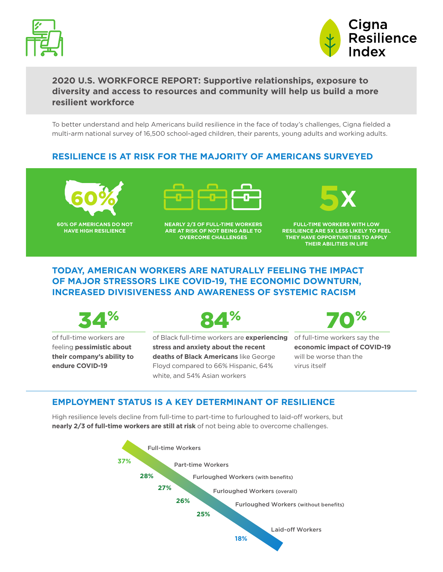



## **2020 U.S. WORKFORCE REPORT: Supportive relationships, exposure to diversity and access to resources and community will help us build a more resilient workforce**

To better understand and help Americans build resilience in the face of today's challenges, Cigna fielded a multi-arm national survey of 16,500 school-aged children, their parents, young adults and working adults.

## **RESILIENCE IS AT RISK FOR THE MAJORITY OF AMERICANS SURVEYED**



**60% OF AMERICANS DO NOT HAVE HIGH RESILIENCE**



**NEARLY 2/3 OF FULL-TIME WORKERS ARE AT RISK OF NOT BEING ABLE TO OVERCOME CHALLENGES**



**FULL-TIME WORKERS WITH LOW RESILIENCE ARE 5X LESS LIKELY TO FEEL THEY HAVE OPPORTUNITIES TO APPLY THEIR ABILITIES IN LIFE**

## **TODAY, AMERICAN WORKERS ARE NATURALLY FEELING THE IMPACT OF MAJOR STRESSORS LIKE COVID-19, THE ECONOMIC DOWNTURN, INCREASED DIVISIVENESS AND AWARENESS OF SYSTEMIC RACISM**



of full-time workers are feeling **pessimistic about their company's ability to endure COVID-19**



of Black full-time workers are **experiencing stress and anxiety about the recent deaths of Black Americans** like George Floyd compared to 66% Hispanic, 64% white, and 54% Asian workers



of full-time workers say the **economic impact of COVID-19** will be worse than the virus itself

## **EMPLOYMENT STATUS IS A KEY DETERMINANT OF RESILIENCE**

High resilience levels decline from full-time to part-time to furloughed to laid-off workers, but **nearly 2/3 of full-time workers are still at risk** of not being able to overcome challenges.

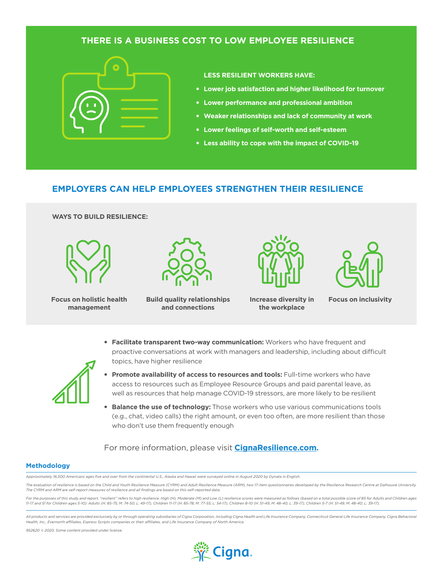### **THERE IS A BUSINESS COST TO LOW EMPLOYEE RESILIENCE**



**LESS RESILIENT WORKERS HAVE:** 

- **Lower job satisfaction and higher likelihood for turnover**
- **Lower performance and professional ambition**
- **Weaker relationships and lack of community at work**
- **Lower feelings of self-worth and self-esteem**
- **Less ability to cope with the impact of COVID-19**

### **EMPLOYERS CAN HELP EMPLOYEES STRENGTHEN THEIR RESILIENCE**

#### **WAYS TO BUILD RESILIENCE:**



**Focus on holistic health** Build quality relationships increase diversity in Focus on inclusivity **management**



**and connections**



**Increase diversity in the workplace**



• **Facilitate transparent two-way communication:** Workers who have frequent and proactive conversations at work with managers and leadership, including about difficult topics, have higher resilience



- **Promote availability of access to resources and tools:** Full-time workers who have access to resources such as Employee Resource Groups and paid parental leave, as well as resources that help manage COVID-19 stressors, are more likely to be resilient
- **Balance the use of technology:** Those workers who use various communications tools (e.g., chat, video calls) the right amount, or even too often, are more resilient than those who don't use them frequently enough

### For more information, please visit **[CignaResilience.com.](https://cignaresilience.com/)**

#### **Methodology**

*Approximately 16,500 Americans ages five and over from the continental U.S., Alaska and Hawaii were surveyed online in August 2020 by Dynata in English.* 

The evaluation of resilience is based on the Child and Youth Resilience Measure (CYRM) and Adult Resilience Measure (ARM), two 17-item questionnaires developed by the Resilience Research Centre at Dalhousie University. *The CYRM and ARM are self-report measures of resilience and all findings are based on this self-reported data.* 

For the purposes of this study and report, "resilient" refers to high resilience. High (H), Moderate (M) and Low (L) resilience scores were measured as follows (based on a total possible score of 85 for Adults and Children *11-17 and 51 for Children ages 5-10): Adults (H: 85-75; M: 74-50; L: 49-17), Children 11-17 (H: 85-78; M: 77-55; L: 54-17), Children 8-10 (H: 51-49; M: 48-40; L: 39-17), Children 5-7 (H: 51-49; M: 48-40; L: 39-17).*

All products and services are provided exclusively by or through operating subsidiaries of Cigna Corporation, including Cigna Health and Life Insurance Company, Connecticut General Life Insurance Company, Cigna Behavioral *Health, Inc., Evernorth affiliates, Express Scripts companies or their affiliates, and Life Insurance Company of North America.*

*952620 © 2020. Some content provided under license.*

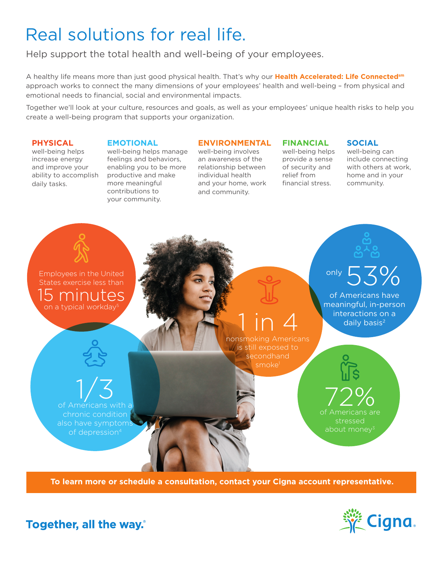# Real solutions for real life.

Help support the total health and well-being of your employees.

A healthy life means more than just good physical health. That's why our **Health Accelerated: Life Connectedsm** approach works to connect the many dimensions of your employees' health and well-being – from physical and emotional needs to financial, social and environmental impacts.

Together we'll look at your culture, resources and goals, as well as your employees' unique health risks to help you create a well-being program that supports your organization.

### **PHYSICAL**

**EMOTIONAL**

well-being helps increase energy and improve your ability to accomplish daily tasks.

well-being helps manage feelings and behaviors, enabling you to be more productive and make more meaningful contributions to your community.

### **ENVIRONMENTAL**

well-being involves an awareness of the relationship between individual health and your home, work and community.

## **FINANCIAL**

well-being helps provide a sense of security and relief from financial stress.

**SOCIAL**

well-being can include connecting with others at work, home and in your community.



**To learn more or schedule a consultation, contact your Cigna account representative.**



Together, all the way.